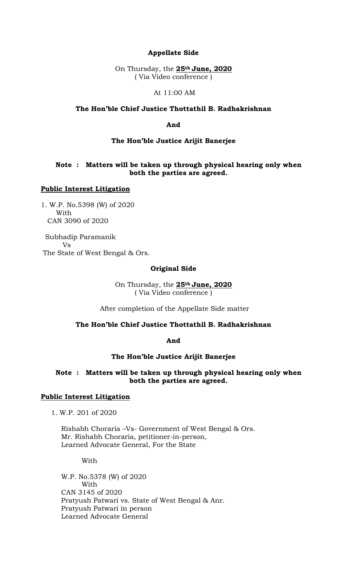# **Appellate Side**

On Thursday, the **25th June, 2020** ( Via Video conference )

#### At 11:00 AM

# **The Hon'ble Chief Justice Thottathil B. Radhakrishnan**

**And**

## **The Hon'ble Justice Arijit Banerjee**

# **Note : Matters will be taken up through physical hearing only when both the parties are agreed.**

# **Public Interest Litigation**

1. W.P. No.5398 (W) of 2020 With CAN 3090 of 2020

 Subhadip Paramanik Vs The State of West Bengal & Ors.

### **Original Side**

On Thursday, the **25th June, 2020** ( Via Video conference )

After completion of the Appellate Side matter

# **The Hon'ble Chief Justice Thottathil B. Radhakrishnan**

#### **And**

### **The Hon'ble Justice Arijit Banerjee**

# **Note : Matters will be taken up through physical hearing only when both the parties are agreed.**

# **Public Interest Litigation**

1. W.P. 201 of 2020

Rishabh Choraria –Vs- Government of West Bengal & Ors. Mr. Rishabh Choraria, petitioner-in-person, Learned Advocate General, For the State

### With

W.P. No.5378 (W) of 2020 With CAN 3145 of 2020 Pratyush Patwari vs. State of West Bengal & Anr. Pratyush Patwari in person Learned Advocate General